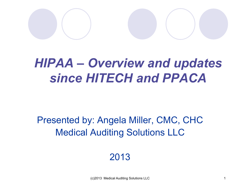

### *HIPAA – Overview and updates since HITECH and PPACA*

Presented by: Angela Miller, CMC, CHC Medical Auditing Solutions LLC

2013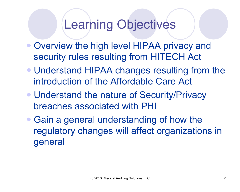### Learning Objectives

- Overview the high level HIPAA privacy and security rules resulting from HITECH Act
- Understand HIPAA changes resulting from the introduction of the Affordable Care Act
- Understand the nature of Security/Privacy breaches associated with PHI
- Gain a general understanding of how the regulatory changes will affect organizations in general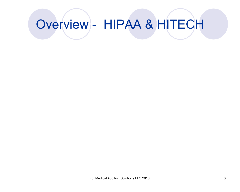## Overview - HIPAA & HITECH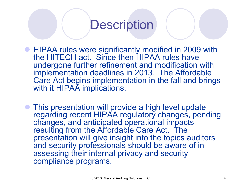#### **Description**

- **HIPAA rules were significantly modified in 2009 with** the HITECH act. Since then HIPAA rules have undergone further refinement and modification with implementation deadlines in 2013. The Affordable Care Act begins implementation in the fall and brings with it HIPAA implications.
- This presentation will provide a high level update regarding recent HIPAA regulatory changes, pending changes, and anticipated operational impacts resulting from the Affordable Care Act. The presentation will give insight into the topics auditors and security professionals should be aware of in assessing their internal privacy and security compliance programs.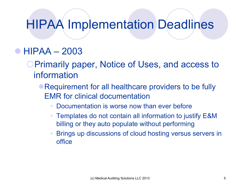### HIPAA Implementation Deadlines

#### $\bullet$  HIPAA – 2003

**OPrimarily paper, Notice of Uses, and access to** information

- Requirement for all healthcare providers to be fully EMR for clinical documentation
	- Documentation is worse now than ever before
	- Templates do not contain all information to justify E&M billing or they auto populate without performing
	- Brings up discussions of cloud hosting versus servers in office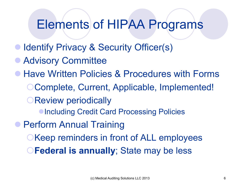### Elements of HIPAA Programs

- Identify Privacy & Security Officer(s)
- **Advisory Committee**
- **Have Written Policies & Procedures with Forms** OComplete, Current, Applicable, Implemented! **OReview periodically • Including Credit Card Processing Policies • Perform Annual Training EXECT DESCRIPTIONS** OKeep reminders in front of ALL employees **CFederal is annually**; State may be less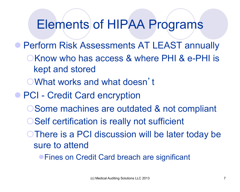### Elements of HIPAA Programs

**• Perform Risk Assessments AT LEAST annually OKnow who has access & where PHI & e-PHI is** kept and stored ¡What works and what doesn't **• PCI - Credit Card encryption OSome machines are outdated & not compliant** O Self certification is really not sufficient O There is a PCI discussion will be later today be sure to attend

**• Fines on Credit Card breach are significant**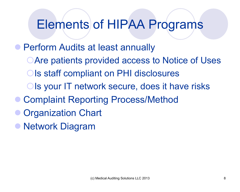### Elements of HIPAA Programs

**• Perform Audits at least annually** OAre patients provided access to Notice of Uses Ols staff compliant on PHI disclosures Ols your IT network secure, does it have risks ● Complaint Reporting Process/Method **Organization Chart** 

**Network Diagram**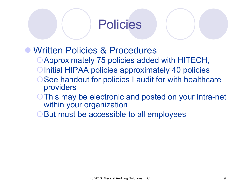

- l Written Policies & Procedures
	- ¡Approximately 75 policies added with HITECH,
	- O Initial HIPAA policies approximately 40 policies
	- See handout for policies I audit for with healthcare providers
	- O This may be electronic and posted on your intra-net within your organization
	- But must be accessible to all employees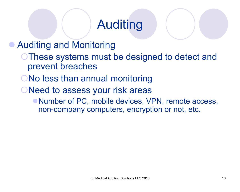### Auditing

**Auditing and Monitoring** 

- **These systems must be designed to detect and** prevent breaches
- ONo less than annual monitoring
- ONeed to assess your risk areas
	- Number of PC, mobile devices, VPN, remote access, non-company computers, encryption or not, etc.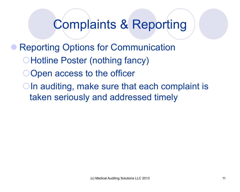#### Complaints & Reporting

**Reporting Options for Communication OHotline Poster (nothing fancy)** Open access to the officer OIn auditing, make sure that each complaint is taken seriously and addressed timely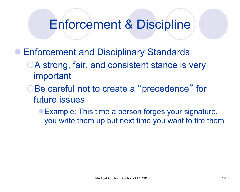#### Enforcement & Discipline

- **Enforcement and Disciplinary Standards** 
	- OA strong, fair, and consistent stance is very important
	- Be careful not to create a "precedence" for future issues
		- Example: This time a person forges your signature, you write them up but next time you want to fire them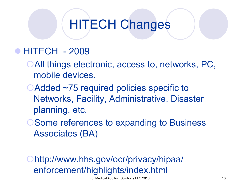### HITECH Changes

#### **• HITECH - 2009**

- **OAII things electronic, access to, networks, PC,** mobile devices.
- ○Added ~75 required policies specific to Networks, Facility, Administrative, Disaster planning, etc.
- O Some references to expanding to Business Associates (BA)

http://www.hhs.gov/ocr/privacy/hipaa/ enforcement/highlights/index.html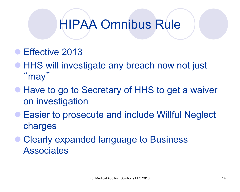## HIPAA Omnibus Rule

- Effective 2013
- HHS will investigate any breach now not just " may "
- **Have to go to Secretary of HHS to get a waiver** on investigation
- **Easier to prosecute and include Willful Neglect** charges
- **Clearly expanded language to Business Associates**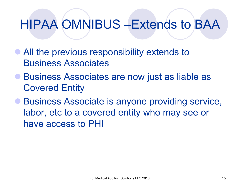## HIPAA OMNIBUS –Extends to BAA

- All the previous responsibility extends to Business Associates
- Business Associates are now just as liable as Covered Entity
- **Business Associate is anyone providing service,** labor, etc to a covered entity who may see or have access to PHI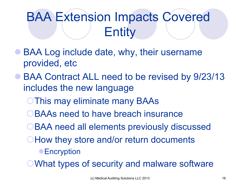## BAA Extension Impacts Covered **Entity**

- BAA Log include date, why, their username provided, etc
- BAA Contract ALL need to be revised by 9/23/13 includes the new language
	- **This may eliminate many BAAs**
	- BAAs need to have breach insurance
	- OBAA need all elements previously discussed
	- **They store and/or return documents** 
		- **Encryption**
	- **OWhat types of security and malware software**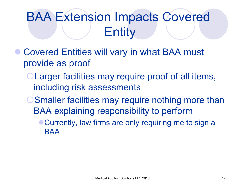## BAA Extension Impacts Covered **Entity**

- Covered Entities will vary in what BAA must provide as proof
	- **OLarger facilities may require proof of all items,** including risk assessments
	- **O Smaller facilities may require nothing more than** BAA explaining responsibility to perform
		- Currently, law firms are only requiring me to sign a **BAA**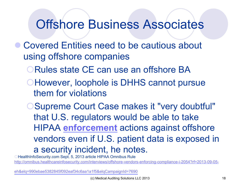#### Offshore Business Associates

- **Covered Entities need to be cautious about** using offshore companies
	- ORules state CE can use an offshore BA
	- **CHowever, loophole is DHHS cannot pursue** them for violations
	- **OSupreme Court Case makes it "very doubtful"** that U.S. regulators would be able to take HIPAA **enforcement** actions against offshore vendors even if U.S. patient data is exposed in a security incident, he notes.

**CHealthInfoSecurity.com Sept. 5, 2013 article HIPAA Omnibus Rule** http://omnibus.healthcareinfosecurity.com/interviews/offshore-vendors-enforcing-compliance-i-2054?rf=2013-09-05-

eh&elq=990ebae5382845f092eaf34c6aa1a1f5&elqCampaignId=7690 (c) Medical Auditing Solutions LLC 2013 18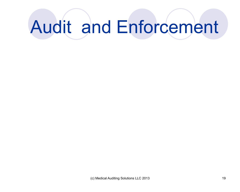# Audit and Enforcement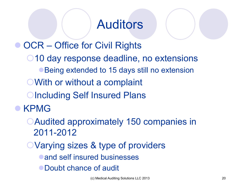### Auditors

**OCR – Office for Civil Rights** O 10 day response deadline, no extensions ● Being extended to 15 days still no extension **OWith or without a complaint OIncluding Self Insured Plans** l KPMG

- **CAudited approximately 150 companies in** 2011-2012
- OVarying sizes & type of providers
	- and self insured businesses
	- Doubt chance of audit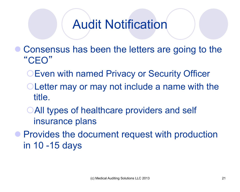### Audit Notification

- Consensus has been the letters are going to the "CEO"
	- **OEven with named Privacy or Security Officer**
	- **OLetter may or may not include a name with the** title.
	- **OAll types of healthcare providers and self** insurance plans
- **Provides the document request with production** in 10 -15 days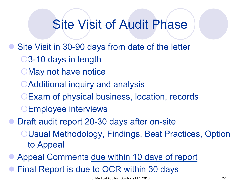### Site Visit of Audit Phase

- Site Visit in 30-90 days from date of the letter
	- ○3-10 days in length
	- OMay not have notice
	- **OAdditional inquiry and analysis**
	- **OExam of physical business, location, records**
	- **OEmployee interviews**
- Draft audit report 20-30 days after on-site
	- **OUsual Methodology, Findings, Best Practices, Option** to Appeal
- Appeal Comments due within 10 days of report
- Final Report is due to OCR within 30 days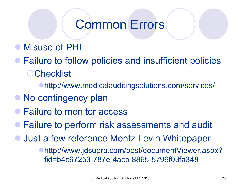### Common Errors

- **Misuse of PHI**
- **Failure to follow policies and insufficient policies OChecklist** 
	- **http://www.medicalauditingsolutions.com/services/**
- No contingency plan
- Failure to monitor access
- **Failure to perform risk assessments and audit**
- **Just a few reference Mentz Levin Whitepaper** 
	- ●http://www.jdsupra.com/post/documentViewer.aspx? fid=b4c67253-787e-4acb-8865-5796f03fa348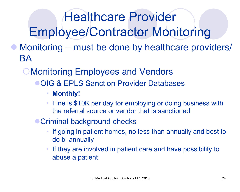## Healthcare Provider Employee/Contractor Monitoring

- Monitoring must be done by healthcare providers/ BA
	- **OMonitoring Employees and Vendors** 
		- **OIG & EPLS Sanction Provider Databases** 
			- **Monthly!**
			- Fine is \$10K per day for employing or doing business with the referral source or vendor that is sanctioned
		- Criminal background checks
			- If going in patient homes, no less than annually and best to do bi-annually
			- If they are involved in patient care and have possibility to abuse a patient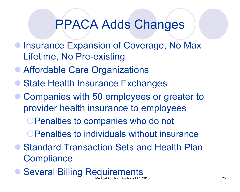### PPACA Adds Changes

- **Insurance Expansion of Coverage, No Max** Lifetime, No Pre-existing
- Affordable Care Organizations
- **State Health Insurance Exchanges**
- Companies with 50 employees or greater to provider health insurance to employees

OPenalties to companies who do not

O Penalties to individuals without insurance

- **Standard Transaction Sets and Health Plan Compliance**
- **C** Several Billing Requirements (c) Medical Auditing Solutions LLC 2013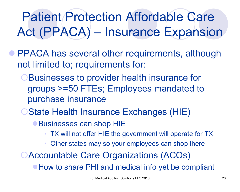## Patient Protection Affordable Care Act (PPACA) – Insurance Expansion

- **PPACA has several other requirements, although** not limited to; requirements for:
	- **OBusinesses to provider health insurance for** groups >=50 FTEs; Employees mandated to purchase insurance
	- **OState Health Insurance Exchanges (HIE)** 
		- Businesses can shop HIE
			- TX will not offer HIE the government will operate for TX
			- Other states may so your employees can shop there
	- **OAccountable Care Organizations (ACOs)**

• How to share PHI and medical info yet be compliant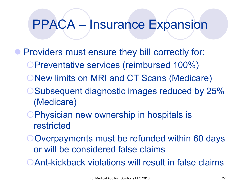### PPACA – Insurance Expansion

- **Providers must ensure they bill correctly for:** 
	- ¡Preventative services (reimbursed 100%)
	- **ONew limits on MRI and CT Scans (Medicare)**
	- **OSubsequent diagnostic images reduced by 25%** (Medicare)
	- **OPhysician new ownership in hospitals is** restricted
	- OOverpayments must be refunded within 60 days or will be considered false claims
	- **OAnt-kickback violations will result in false claims**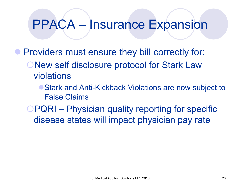### PPACA – Insurance Expansion

**• Providers must ensure they bill correctly for: ONew self disclosure protocol for Stark Law** violations

> ■ Stark and Anti-Kickback Violations are now subject to False Claims

**OPQRI** – Physician quality reporting for specific disease states will impact physician pay rate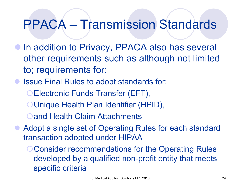### PPACA – Transmission Standards

- In addition to Privacy, PPACA also has several other requirements such as although not limited to; requirements for:
- **Issue Final Rules to adopt standards for:** 
	- Electronic Funds Transfer (EFT),
	- O Unique Health Plan Identifier (HPID),
	- **Oand Health Claim Attachments**
- Adopt a single set of Operating Rules for each standard transaction adopted under HIPAA
	- O Consider recommendations for the Operating Rules developed by a qualified non-profit entity that meets specific criteria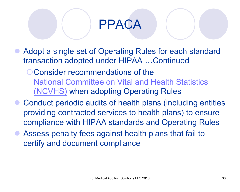### PPACA

- Adopt a single set of Operating Rules for each standard transaction adopted under HIPAA …Continued
	- O Consider recommendations of the National Committee on Vital and Health Statistics (NCVHS) when adopting Operating Rules
- Conduct periodic audits of health plans (including entities providing contracted services to health plans) to ensure compliance with HIPAA standards and Operating Rules
- Assess penalty fees against health plans that fail to certify and document compliance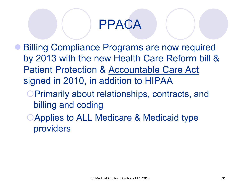### PPACA

- **Billing Compliance Programs are now required** by 2013 with the new Health Care Reform bill & Patient Protection & Accountable Care Act signed in 2010, in addition to HIPAA
	- **OPrimarily about relationships, contracts, and** billing and coding
	- **CApplies to ALL Medicare & Medicaid type** providers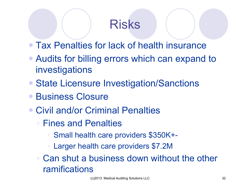### Risks

- Tax Penalties for lack of health insurance
- Audits for billing errors which can expand to investigations
- State Licensure Investigation/Sanctions
- **Business Closure**
- Civil and/or Criminal Penalties
	- Fines and Penalties
		- Small health care providers \$350K+-
		- Larger health care providers \$7.2M
	- Can shut a business down without the other ramifications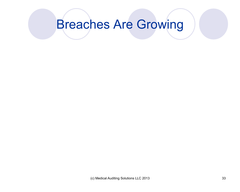### Breaches Are Growing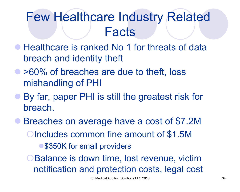### Few Healthcare Industry Related **Facts**

- Healthcare is ranked No 1 for threats of data breach and identity theft
- > 60% of breaches are due to theft, loss mishandling of PHI
- **By far, paper PHI is still the greatest risk for** breach.
- l Breaches on average have a cost of \$7.2M **OIncludes common fine amount of \$1.5M** ● \$350K for small providers **OBalance is down time, lost revenue, victim** notification and protection costs, legal cost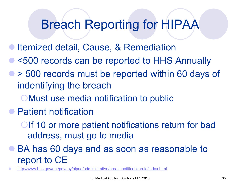### Breach Reporting for HIPAA

- Itemized detail, Cause, & Remediation
- l <500 records can be reported to HHS Annually
- > 500 records must be reported within 60 days of indentifying the breach
	- **CMust use media notification to public**
- Patient notification
	- OIf 10 or more patient notifications return for bad address, must go to media
- BA has 60 days and as soon as reasonable to report to CE
- http://www.hhs.gov/ocr/privacy/hipaa/administrative/breachnotificationrule/index.html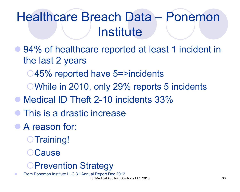## Healthcare Breach Data – Ponemon **Institute**

**• 94% of healthcare reported at least 1 incident in** the last 2 years

○45% reported have 5=>incidents

¡While in 2010, only 29% reports 5 incidents

- Medical ID Theft 2-10 incidents 33%
- This is a drastic increase
- A reason for:
	- $\bigcirc$ Training!
	- **Cause**

#### **OPrevention Strategy**

From Ponemon Institute LLC 3rd Annual Report Dec 2012 (c) Medical Auditing Solutions LLC 2013 36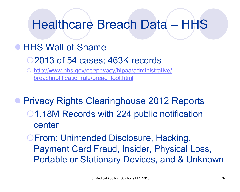### Healthcare Breach Data – HHS

#### • HHS Wall of Shame

- O2013 of 54 cases; 463K records
- http://www.hhs.gov/ocr/privacy/hipaa/administrative/ breachnotificationrule/breachtool.html

**• Privacy Rights Clearinghouse 2012 Reports** O1.18M Records with 224 public notification center

**OFrom: Unintended Disclosure, Hacking,** Payment Card Fraud, Insider, Physical Loss, Portable or Stationary Devices, and & Unknown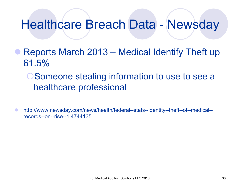### Healthcare Breach Data - Newsday

- Reports March 2013 Medical Identify Theft up 61.5%
	- **OSomeone stealing information to use to see a** healthcare professional
- http://www.newsday.com/news/health/federal--stats--identity--theft--of--medical-records--on--rise--1.4744135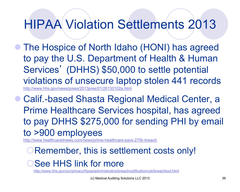### HIPAA Violation Settlements 2013

The Hospice of North Idaho (HONI) has agreed to pay the U.S. Department of Health & Human Services' (DHHS) \$50,000 to settle potential violations of unsecure laptop stolen 441 records http://www.hhs.gov/news/press/2013pres/01/201

Calif.-based Shasta Regional Medical Center, a Prime Healthcare Services hospital, has agreed to pay DHHS \$275,000 for sending PHI by email to >900 employees

http://www.healthcareitnews.com/news/prime-healthcare-pays-275k-breach

#### **ORemember, this is settlement costs only!**

#### OSee HHS link for more

http://www.hhs.gov/ocr/privacy/hipaa/administrative/breachnotificationrule/breachtool.html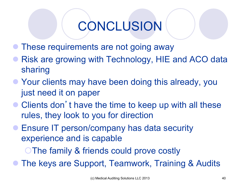### CONCLUSION

- These requirements are not going away
- Risk are growing with Technology, HIE and ACO data sharing
- **Your clients may have been doing this already, you** just need it on paper
- Clients don't have the time to keep up with all these rules, they look to you for direction
- **Ensure IT person/company has data security** experience and is capable

**The family & friends could prove costly** 

The keys are Support, Teamwork, Training & Audits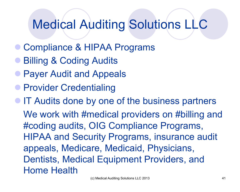### Medical Auditing Solutions LLC

- Compliance & HIPAA Programs
- **Billing & Coding Audits**
- **Payer Audit and Appeals**
- **Provider Credentialing**

• IT Audits done by one of the business partners We work with #medical providers on #billing and #coding audits, OIG Compliance Programs, HIPAA and Security Programs, insurance audit appeals, Medicare, Medicaid, Physicians, Dentists, Medical Equipment Providers, and Home Health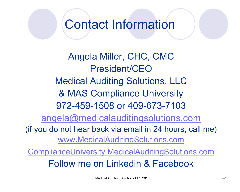Contact Information

Angela Miller, CHC, CMC President/CEO Medical Auditing Solutions, LLC & MAS Compliance University 972-459-1508 or 409-673-7103 angela@medicalauditingsolutions.com (if you do not hear back via email in 24 hours, call me) www.MedicalAuditingSolutions.com ComplianceUniversity.MedicalAuditingSolutions.com

Follow me on Linkedin & Facebook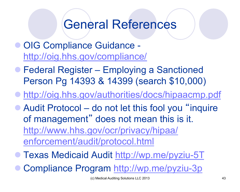#### General References

- **OIG Compliance Guidance** http://oig.hhs.gov/compliance/
- **Federal Register Employing a Sanctioned** Person Pg 14393 & 14399 (search \$10,000)
- http://oig.hhs.gov/authorities/docs/hipaacmp.pdf
- Audit Protocol do not let this fool you "inquire" of management" does not mean this is it. http://www.hhs.gov/ocr/privacy/hipaa/ enforcement/audit/protocol.html
- l Texas Medicaid Audit http://wp.me/pyziu-5T
- Compliance Program http://wp.me/pyziu-3p<br>(c) Medical Auditing Solutions LLC 2013<br>43